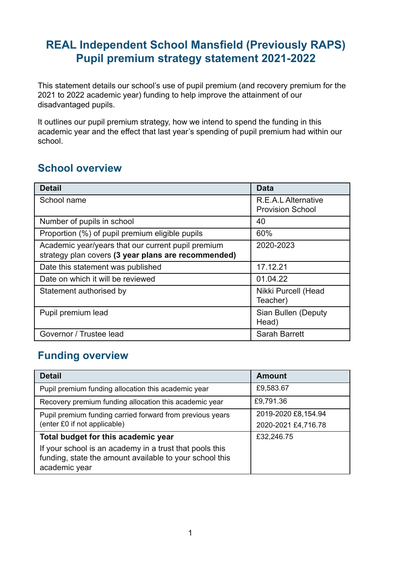# **REAL Independent School Mansfield (Previously RAPS) Pupil premium strategy statement 2021-2022**

This statement details our school's use of pupil premium (and recovery premium for the 2021 to 2022 academic year) funding to help improve the attainment of our disadvantaged pupils.

It outlines our pupil premium strategy, how we intend to spend the funding in this academic year and the effect that last year's spending of pupil premium had within our school.

### **School overview**

| <b>Detail</b>                                                                                             | <b>Data</b>                                    |
|-----------------------------------------------------------------------------------------------------------|------------------------------------------------|
| School name                                                                                               | R.E.A.L Alternative<br><b>Provision School</b> |
| Number of pupils in school                                                                                | 40                                             |
| Proportion (%) of pupil premium eligible pupils                                                           | 60%                                            |
| Academic year/years that our current pupil premium<br>strategy plan covers (3 year plans are recommended) | 2020-2023                                      |
| Date this statement was published                                                                         | 17.12.21                                       |
| Date on which it will be reviewed                                                                         | 01.04.22                                       |
| Statement authorised by                                                                                   | Nikki Purcell (Head<br>Teacher)                |
| Pupil premium lead                                                                                        | Sian Bullen (Deputy<br>Head)                   |
| Governor / Trustee lead                                                                                   | <b>Sarah Barrett</b>                           |

## **Funding overview**

| <b>Detail</b>                                                                                                                       | <b>Amount</b>                              |
|-------------------------------------------------------------------------------------------------------------------------------------|--------------------------------------------|
| Pupil premium funding allocation this academic year                                                                                 | £9,583.67                                  |
| Recovery premium funding allocation this academic year                                                                              | £9,791.36                                  |
| Pupil premium funding carried forward from previous years<br>(enter £0 if not applicable)                                           | 2019-2020 £8,154.94<br>2020-2021 £4,716.78 |
| Total budget for this academic year                                                                                                 | £32,246.75                                 |
| If your school is an academy in a trust that pools this<br>funding, state the amount available to your school this<br>academic year |                                            |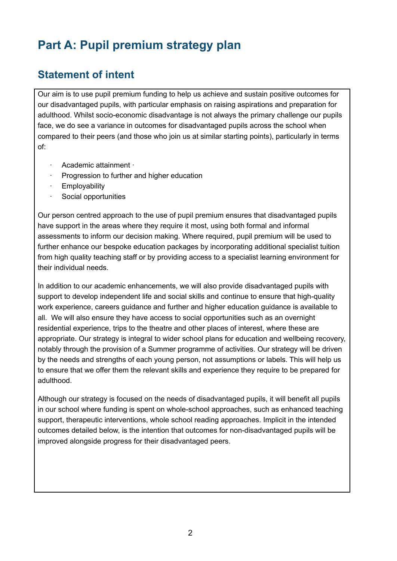# **Part A: Pupil premium strategy plan**

### **Statement of intent**

Our aim is to use pupil premium funding to help us achieve and sustain positive outcomes for our disadvantaged pupils, with particular emphasis on raising aspirations and preparation for adulthood. Whilst socio-economic disadvantage is not always the primary challenge our pupils face, we do see a variance in outcomes for disadvantaged pupils across the school when compared to their peers (and those who join us at similar starting points), particularly in terms of:

- · Academic attainment ·
- · Progression to further and higher education
- **Employability**
- Social opportunities

Our person centred approach to the use of pupil premium ensures that disadvantaged pupils have support in the areas where they require it most, using both formal and informal assessments to inform our decision making. Where required, pupil premium will be used to further enhance our bespoke education packages by incorporating additional specialist tuition from high quality teaching staff or by providing access to a specialist learning environment for their individual needs.

In addition to our academic enhancements, we will also provide disadvantaged pupils with support to develop independent life and social skills and continue to ensure that high-quality work experience, careers guidance and further and higher education guidance is available to all. We will also ensure they have access to social opportunities such as an overnight residential experience, trips to the theatre and other places of interest, where these are appropriate. Our strategy is integral to wider school plans for education and wellbeing recovery, notably through the provision of a Summer programme of activities. Our strategy will be driven by the needs and strengths of each young person, not assumptions or labels. This will help us to ensure that we offer them the relevant skills and experience they require to be prepared for adulthood.

Although our strategy is focused on the needs of disadvantaged pupils, it will benefit all pupils in our school where funding is spent on whole-school approaches, such as enhanced teaching support, therapeutic interventions, whole school reading approaches. Implicit in the intended outcomes detailed below, is the intention that outcomes for non-disadvantaged pupils will be improved alongside progress for their disadvantaged peers.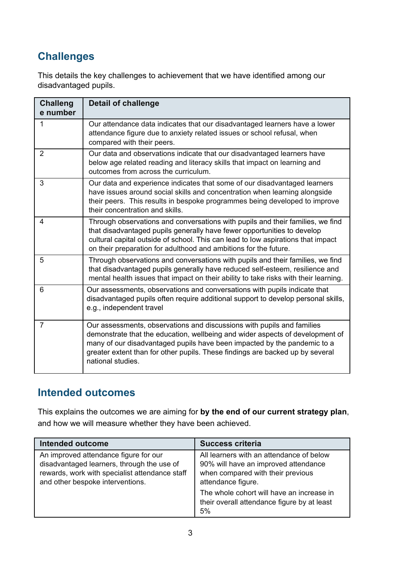# **Challenges**

This details the key challenges to achievement that we have identified among our disadvantaged pupils.

| <b>Challeng</b><br>e number | <b>Detail of challenge</b>                                                                                                                                                                                                                                                                                                                |
|-----------------------------|-------------------------------------------------------------------------------------------------------------------------------------------------------------------------------------------------------------------------------------------------------------------------------------------------------------------------------------------|
| 1                           | Our attendance data indicates that our disadvantaged learners have a lower<br>attendance figure due to anxiety related issues or school refusal, when<br>compared with their peers.                                                                                                                                                       |
| $\overline{2}$              | Our data and observations indicate that our disadvantaged learners have<br>below age related reading and literacy skills that impact on learning and<br>outcomes from across the curriculum.                                                                                                                                              |
| 3                           | Our data and experience indicates that some of our disadvantaged learners<br>have issues around social skills and concentration when learning alongside<br>their peers. This results in bespoke programmes being developed to improve<br>their concentration and skills.                                                                  |
| 4                           | Through observations and conversations with pupils and their families, we find<br>that disadvantaged pupils generally have fewer opportunities to develop<br>cultural capital outside of school. This can lead to low aspirations that impact<br>on their preparation for adulthood and ambitions for the future.                         |
| 5                           | Through observations and conversations with pupils and their families, we find<br>that disadvantaged pupils generally have reduced self-esteem, resilience and<br>mental health issues that impact on their ability to take risks with their learning.                                                                                    |
| 6                           | Our assessments, observations and conversations with pupils indicate that<br>disadvantaged pupils often require additional support to develop personal skills,<br>e.g., independent travel                                                                                                                                                |
| $\overline{7}$              | Our assessments, observations and discussions with pupils and families<br>demonstrate that the education, wellbeing and wider aspects of development of<br>many of our disadvantaged pupils have been impacted by the pandemic to a<br>greater extent than for other pupils. These findings are backed up by several<br>national studies. |

#### **Intended outcomes**

This explains the outcomes we are aiming for **by the end of our current strategy plan**, and how we will measure whether they have been achieved.

| Intended outcome                                                                                                                                                          | <b>Success criteria</b>                                                                                                                                                                                                                       |
|---------------------------------------------------------------------------------------------------------------------------------------------------------------------------|-----------------------------------------------------------------------------------------------------------------------------------------------------------------------------------------------------------------------------------------------|
| An improved attendance figure for our<br>disadvantaged learners, through the use of<br>rewards, work with specialist attendance staff<br>and other bespoke interventions. | All learners with an attendance of below<br>90% will have an improved attendance<br>when compared with their previous<br>attendance figure.<br>The whole cohort will have an increase in<br>their overall attendance figure by at least<br>5% |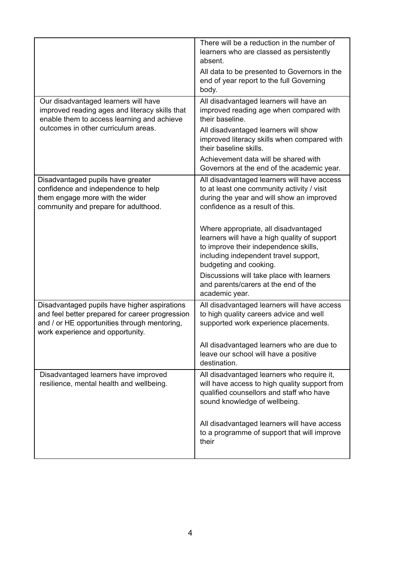|                                                                                                                                                                                     | There will be a reduction in the number of<br>learners who are classed as persistently<br>absent.<br>All data to be presented to Governors in the<br>end of year report to the full Governing<br>body. |
|-------------------------------------------------------------------------------------------------------------------------------------------------------------------------------------|--------------------------------------------------------------------------------------------------------------------------------------------------------------------------------------------------------|
| Our disadvantaged learners will have<br>improved reading ages and literacy skills that<br>enable them to access learning and achieve                                                | All disadvantaged learners will have an<br>improved reading age when compared with<br>their baseline.                                                                                                  |
| outcomes in other curriculum areas.                                                                                                                                                 | All disadvantaged learners will show<br>improved literacy skills when compared with<br>their baseline skills.                                                                                          |
|                                                                                                                                                                                     | Achievement data will be shared with<br>Governors at the end of the academic year.                                                                                                                     |
| Disadvantaged pupils have greater<br>confidence and independence to help<br>them engage more with the wider<br>community and prepare for adulthood.                                 | All disadvantaged learners will have access<br>to at least one community activity / visit<br>during the year and will show an improved<br>confidence as a result of this.                              |
|                                                                                                                                                                                     | Where appropriate, all disadvantaged<br>learners will have a high quality of support<br>to improve their independence skills,<br>including independent travel support,<br>budgeting and cooking.       |
|                                                                                                                                                                                     | Discussions will take place with learners<br>and parents/carers at the end of the<br>academic year.                                                                                                    |
| Disadvantaged pupils have higher aspirations<br>and feel better prepared for career progression<br>and / or HE opportunities through mentoring,<br>work experience and opportunity. | All disadvantaged learners will have access<br>to high quality careers advice and well<br>supported work experience placements.                                                                        |
|                                                                                                                                                                                     | All disadvantaged learners who are due to<br>leave our school will have a positive<br>destination.                                                                                                     |
| Disadvantaged learners have improved<br>resilience, mental health and wellbeing.                                                                                                    | All disadvantaged learners who require it,<br>will have access to high quality support from<br>qualified counsellors and staff who have<br>sound knowledge of wellbeing.                               |
|                                                                                                                                                                                     | All disadvantaged learners will have access<br>to a programme of support that will improve<br>their                                                                                                    |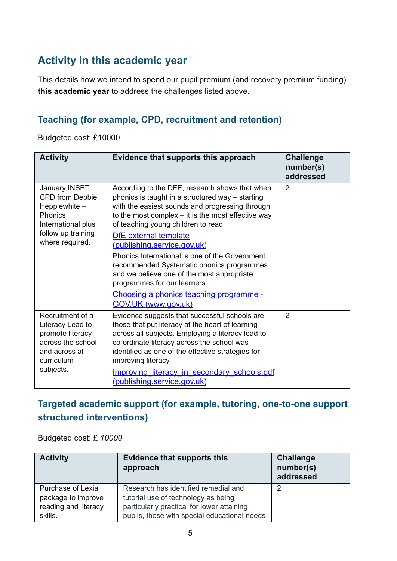## **Activity in this academic year**

This details how we intend to spend our pupil premium (and recovery premium funding) **this academic year** to address the challenges listed above.

#### **Teaching (for example, CPD, recruitment and retention)**

Budgeted cost: £10000

| <b>Activity</b>                                                                                                                             | Evidence that supports this approach                                                                                                                                                                                                                                                                                                                                                                                                                                                                                                                                    | <b>Challenge</b><br>number(s)<br>addressed |
|---------------------------------------------------------------------------------------------------------------------------------------------|-------------------------------------------------------------------------------------------------------------------------------------------------------------------------------------------------------------------------------------------------------------------------------------------------------------------------------------------------------------------------------------------------------------------------------------------------------------------------------------------------------------------------------------------------------------------------|--------------------------------------------|
| <b>January INSET</b><br><b>CPD</b> from Debbie<br>Hepplewhite $-$<br>Phonics<br>International plus<br>follow up training<br>where required. | According to the DFE, research shows that when<br>phonics is taught in a structured way – starting<br>with the easiest sounds and progressing through<br>to the most complex - it is the most effective way<br>of teaching young children to read.<br>DfE external template<br>(publishing.service.gov.uk)<br>Phonics International is one of the Government<br>recommended Systematic phonics programmes<br>and we believe one of the most appropriate<br>programmes for our learners.<br><u>Choosing a phonics teaching programme -</u><br><b>GOV.UK (www.gov.uk)</b> | 2                                          |
| Recruitment of a<br>Literacy Lead to<br>promote literacy<br>across the school<br>and across all<br>curriculum<br>subjects.                  | Evidence suggests that successful schools are<br>those that put literacy at the heart of learning<br>across all subjects. Employing a literacy lead to<br>co-ordinate literacy across the school was<br>identified as one of the effective strategies for<br>improving literacy.<br>Improving literacy in secondary schools.pdf<br>(publishing.service.gov.uk)                                                                                                                                                                                                          | 2                                          |

### **Targeted academic support (for example, tutoring, one-to-one support structured interventions)**

Budgeted cost: £ *10000*

| <b>Activity</b>                                                            | <b>Evidence that supports this</b><br>approach                                                                                                                            | <b>Challenge</b><br>number(s)<br>addressed |
|----------------------------------------------------------------------------|---------------------------------------------------------------------------------------------------------------------------------------------------------------------------|--------------------------------------------|
| Purchase of Lexia<br>package to improve<br>reading and literacy<br>skills. | Research has identified remedial and<br>tutorial use of technology as being<br>particularly practical for lower attaining<br>pupils, those with special educational needs | າ                                          |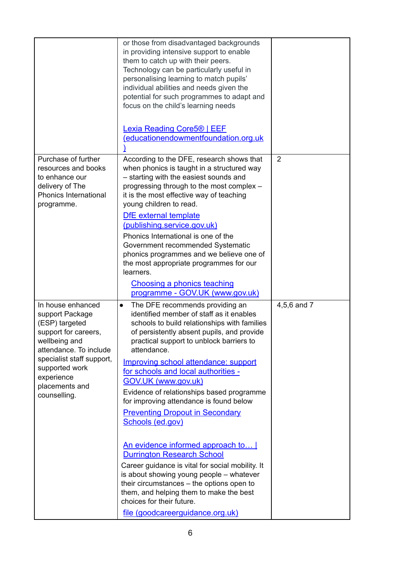|                                                                                                                                                                                                                          | or those from disadvantaged backgrounds<br>in providing intensive support to enable<br>them to catch up with their peers.<br>Technology can be particularly useful in<br>personalising learning to match pupils'<br>individual abilities and needs given the<br>potential for such programmes to adapt and<br>focus on the child's learning needs<br><b>Lexia Reading Core5<sup>®</sup>   EEF</b><br>(educationendowmentfoundation.org.uk                                                                                                                                                                                                                                                                                                                                                                                                              |                |
|--------------------------------------------------------------------------------------------------------------------------------------------------------------------------------------------------------------------------|--------------------------------------------------------------------------------------------------------------------------------------------------------------------------------------------------------------------------------------------------------------------------------------------------------------------------------------------------------------------------------------------------------------------------------------------------------------------------------------------------------------------------------------------------------------------------------------------------------------------------------------------------------------------------------------------------------------------------------------------------------------------------------------------------------------------------------------------------------|----------------|
| Purchase of further<br>resources and books<br>to enhance our<br>delivery of The<br><b>Phonics International</b><br>programme.                                                                                            | According to the DFE, research shows that<br>when phonics is taught in a structured way<br>- starting with the easiest sounds and<br>progressing through to the most complex -<br>it is the most effective way of teaching<br>young children to read.<br>DfE external template<br>(publishing.service.gov.uk)<br>Phonics International is one of the<br>Government recommended Systematic<br>phonics programmes and we believe one of<br>the most appropriate programmes for our<br>learners.<br><b>Choosing a phonics teaching</b><br>programme - GOV.UK (www.gov.uk)                                                                                                                                                                                                                                                                                 | $\overline{2}$ |
| In house enhanced<br>support Package<br>(ESP) targeted<br>support for careers,<br>wellbeing and<br>attendance. To include<br>specialist staff support,<br>supported work<br>experience<br>placements and<br>counselling. | The DFE recommends providing an<br>$\bullet$<br>identified member of staff as it enables<br>schools to build relationships with families<br>of persistently absent pupils, and provide<br>practical support to unblock barriers to<br>attendance.<br>Improving school attendance: support<br>for schools and local authorities -<br>GOV.UK (www.gov.uk)<br>Evidence of relationships based programme<br>for improving attendance is found below<br><b>Preventing Dropout in Secondary</b><br>Schools (ed.gov)<br>An evidence informed approach to<br><b>Durrington Research School</b><br>Career guidance is vital for social mobility. It<br>is about showing young people - whatever<br>their circumstances - the options open to<br>them, and helping them to make the best<br>choices for their future.<br><u>file (goodcareerguidance.org.uk)</u> | 4,5,6 and 7    |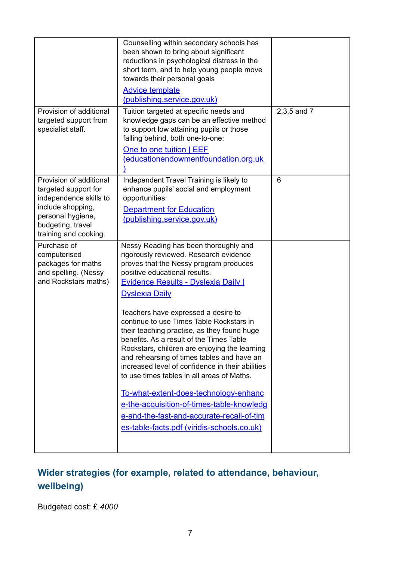| Provision of additional                                                                                                                                           | Counselling within secondary schools has<br>been shown to bring about significant<br>reductions in psychological distress in the<br>short term, and to help young people move<br>towards their personal goals<br><b>Advice template</b><br>(publishing.service.gov.uk)<br>Tuition targeted at specific needs and                     | 2,3,5 and 7 |
|-------------------------------------------------------------------------------------------------------------------------------------------------------------------|--------------------------------------------------------------------------------------------------------------------------------------------------------------------------------------------------------------------------------------------------------------------------------------------------------------------------------------|-------------|
| targeted support from<br>specialist staff.                                                                                                                        | knowledge gaps can be an effective method<br>to support low attaining pupils or those<br>falling behind, both one-to-one:<br>One to one tuition   EEF<br>(educationendowmentfoundation.org.uk                                                                                                                                        |             |
| Provision of additional<br>targeted support for<br>independence skills to<br>include shopping,<br>personal hygiene,<br>budgeting, travel<br>training and cooking. | Independent Travel Training is likely to<br>enhance pupils' social and employment<br>opportunities:<br><b>Department for Education</b><br>(publishing.service.gov.uk)                                                                                                                                                                | 6           |
| Purchase of<br>computerised<br>packages for maths<br>and spelling. (Nessy<br>and Rockstars maths)                                                                 | Nessy Reading has been thoroughly and<br>rigorously reviewed. Research evidence<br>proves that the Nessy program produces<br>positive educational results.<br><b>Evidence Results - Dyslexia Daily  </b><br><b>Dyslexia Daily</b><br>Teachers have expressed a desire to                                                             |             |
|                                                                                                                                                                   | continue to use Times Table Rockstars in<br>their teaching practise, as they found huge<br>benefits. As a result of the Times Table<br>Rockstars, children are enjoying the learning<br>and rehearsing of times tables and have an<br>increased level of confidence in their abilities<br>to use times tables in all areas of Maths. |             |
|                                                                                                                                                                   | To-what-extent-does-technology-enhanc<br>e-the-acquisition-of-times-table-knowledg<br>e-and-the-fast-and-accurate-recall-of-tim<br>es-table-facts.pdf (viridis-schools.co.uk)                                                                                                                                                        |             |

# **Wider strategies (for example, related to attendance, behaviour, wellbeing)**

Budgeted cost: £ *4000*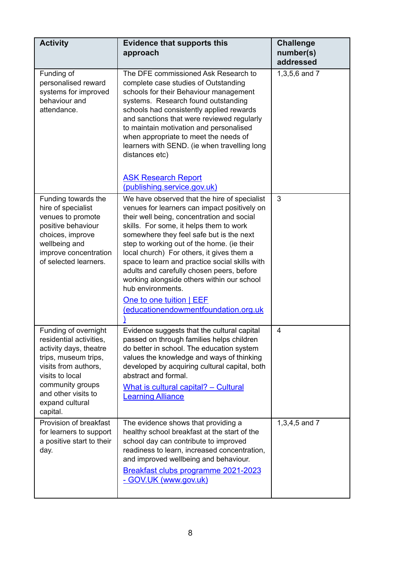| <b>Activity</b>                                                                                                                                                                                                        | <b>Evidence that supports this</b><br>approach                                                                                                                                                                                                                                                                                                                                                                                                                                                                                                                     | <b>Challenge</b><br>number(s)<br>addressed |
|------------------------------------------------------------------------------------------------------------------------------------------------------------------------------------------------------------------------|--------------------------------------------------------------------------------------------------------------------------------------------------------------------------------------------------------------------------------------------------------------------------------------------------------------------------------------------------------------------------------------------------------------------------------------------------------------------------------------------------------------------------------------------------------------------|--------------------------------------------|
| Funding of<br>personalised reward<br>systems for improved<br>behaviour and<br>attendance.                                                                                                                              | The DFE commissioned Ask Research to<br>complete case studies of Outstanding<br>schools for their Behaviour management<br>systems. Research found outstanding<br>schools had consistently applied rewards<br>and sanctions that were reviewed regularly<br>to maintain motivation and personalised<br>when appropriate to meet the needs of<br>learners with SEND. (ie when travelling long<br>distances etc)<br><b>ASK Research Report</b><br>(publishing.service.gov.uk)                                                                                         | 1,3,5,6 and 7                              |
| Funding towards the<br>hire of specialist<br>venues to promote<br>positive behaviour<br>choices, improve<br>wellbeing and<br>improve concentration<br>of selected learners.                                            | We have observed that the hire of specialist<br>venues for learners can impact positively on<br>their well being, concentration and social<br>skills. For some, it helps them to work<br>somewhere they feel safe but is the next<br>step to working out of the home. (ie their<br>local church) For others, it gives them a<br>space to learn and practice social skills with<br>adults and carefully chosen peers, before<br>working alongside others within our school<br>hub environments.<br>One to one tuition   EEF<br>(educationendowmentfoundation.org.uk | 3                                          |
| Funding of overnight<br>residential activities,<br>activity days, theatre<br>trips, museum trips,<br>visits from authors,<br>visits to local<br>community groups<br>and other visits to<br>expand cultural<br>capital. | Evidence suggests that the cultural capital<br>passed on through families helps children<br>do better in school. The education system<br>values the knowledge and ways of thinking<br>developed by acquiring cultural capital, both<br>abstract and formal.<br>What is cultural capital? - Cultural<br><b>Learning Alliance</b>                                                                                                                                                                                                                                    | 4                                          |
| Provision of breakfast<br>for learners to support<br>a positive start to their<br>day.                                                                                                                                 | The evidence shows that providing a<br>healthy school breakfast at the start of the<br>school day can contribute to improved<br>readiness to learn, increased concentration,<br>and improved wellbeing and behaviour.<br>Breakfast clubs programme 2021-2023<br>- GOV.UK (www.gov.uk)                                                                                                                                                                                                                                                                              | 1,3,4,5 and 7                              |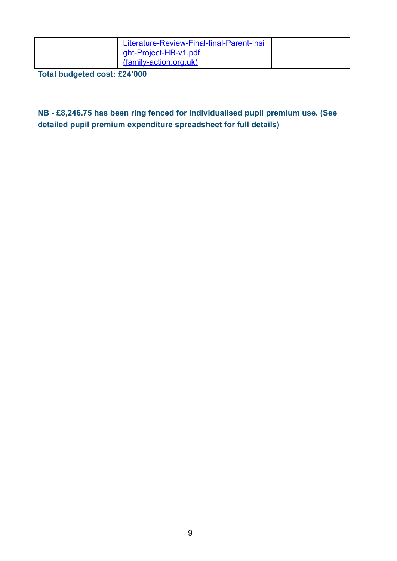| Literature-Review-Final-final-Parent-Insi<br>ght-Project-HB-v1.pdf<br>(family-action.org.uk) |  |
|----------------------------------------------------------------------------------------------|--|
|                                                                                              |  |

**Total budgeted cost: £24'000**

#### **NB - £8,246.75 has been ring fenced for individualised pupil premium use. (See detailed pupil premium expenditure spreadsheet for full details)**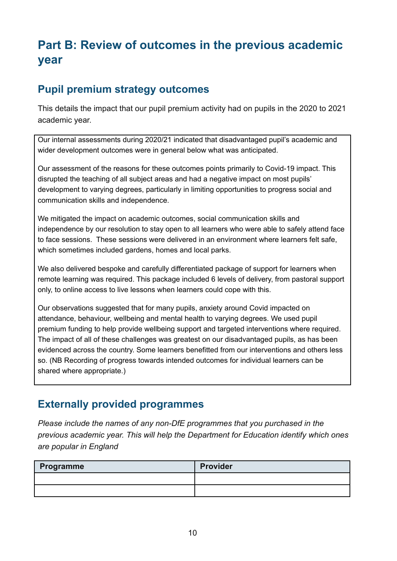# **Part B: Review of outcomes in the previous academic year**

## **Pupil premium strategy outcomes**

This details the impact that our pupil premium activity had on pupils in the 2020 to 2021 academic year.

Our internal assessments during 2020/21 indicated that disadvantaged pupil's academic and wider development outcomes were in general below what was anticipated.

Our assessment of the reasons for these outcomes points primarily to Covid-19 impact. This disrupted the teaching of all subject areas and had a negative impact on most pupils' development to varying degrees, particularly in limiting opportunities to progress social and communication skills and independence.

We mitigated the impact on academic outcomes, social communication skills and independence by our resolution to stay open to all learners who were able to safely attend face to face sessions. These sessions were delivered in an environment where learners felt safe, which sometimes included gardens, homes and local parks.

We also delivered bespoke and carefully differentiated package of support for learners when remote learning was required. This package included 6 levels of delivery, from pastoral support only, to online access to live lessons when learners could cope with this.

Our observations suggested that for many pupils, anxiety around Covid impacted on attendance, behaviour, wellbeing and mental health to varying degrees. We used pupil premium funding to help provide wellbeing support and targeted interventions where required. The impact of all of these challenges was greatest on our disadvantaged pupils, as has been evidenced across the country. Some learners benefitted from our interventions and others less so. (NB Recording of progress towards intended outcomes for individual learners can be shared where appropriate.)

### **Externally provided programmes**

*Please include the names of any non-DfE programmes that you purchased in the previous academic year. This will help the Department for Education identify which ones are popular in England*

| Programme | <b>Provider</b> |
|-----------|-----------------|
|           |                 |
|           |                 |